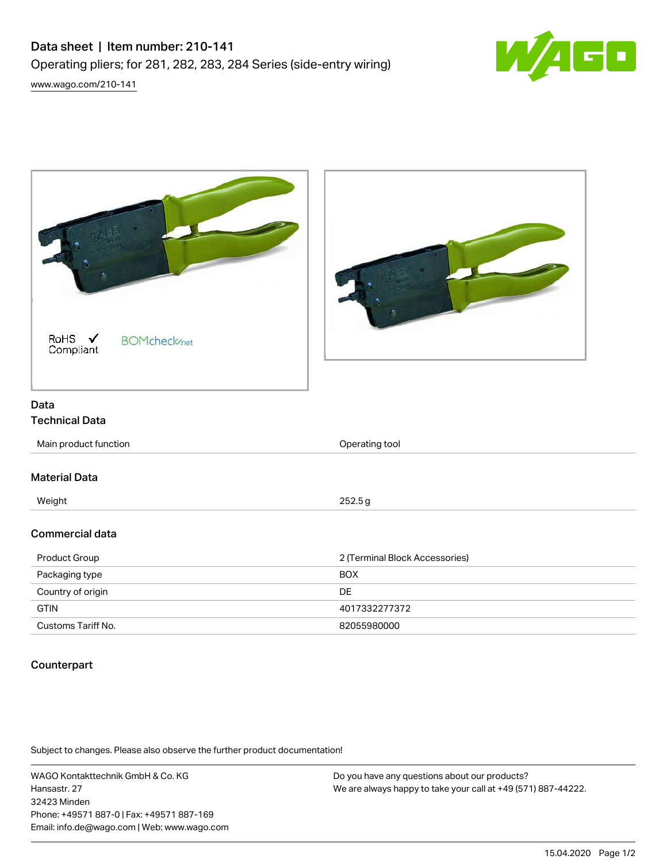

| RoHS $\checkmark$<br><b>BOMcheck</b> <sub>net</sub><br>Compliant |                                |
|------------------------------------------------------------------|--------------------------------|
|                                                                  |                                |
| Data                                                             |                                |
| <b>Technical Data</b>                                            |                                |
| Main product function                                            | Operating tool                 |
| <b>Material Data</b>                                             |                                |
| Weight                                                           | 252.5g                         |
| <b>Commercial data</b>                                           |                                |
| Product Group                                                    | 2 (Terminal Block Accessories) |
| Packaging type                                                   | <b>BOX</b>                     |
| Country of origin                                                | DE                             |
| <b>GTIN</b>                                                      | 4017332277372                  |
| Customs Tariff No.                                               | 82055980000                    |

## Counterpart

Subject to changes. Please also observe the further product documentation!

WAGO Kontakttechnik GmbH & Co. KG Hansastr. 27 32423 Minden Phone: +49571 887-0 | Fax: +49571 887-169 Email: info.de@wago.com | Web: www.wago.com

Do you have any questions about our products? We are always happy to take your call at +49 (571) 887-44222.